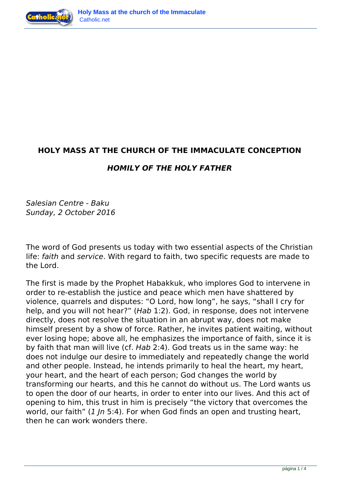



## **HOLY MASS AT THE CHURCH OF THE IMMACULATE CONCEPTION**

## *HOMILY OF THE HOLY FATHER*

*Salesian Centre - Baku Sunday, 2 October 2016*

The word of God presents us today with two essential aspects of the Christian life: *faith* and *service*. With regard to faith, two specific requests are made to the Lord.

The first is made by the Prophet Habakkuk, who implores God to intervene in order to re-establish the justice and peace which men have shattered by violence, quarrels and disputes: "O Lord, how long", he says, "shall I cry for help, and you will not hear?" (*Hab* 1:2). God, in response, does not intervene directly, does not resolve the situation in an abrupt way, does not make himself present by a show of force. Rather, he invites patient waiting, without ever losing hope; above all, he emphasizes the importance of faith, since it is by faith that man will live (cf. *Hab* 2:4). God treats us in the same way: he does not indulge our desire to immediately and repeatedly change the world and other people. Instead, he intends primarily to heal the heart, my heart, your heart, and the heart of each person; God changes the world by transforming our hearts, and this he cannot do without us. The Lord wants us to open the door of our hearts, in order to enter into our lives. And this act of opening to him, this trust in him is precisely "the victory that overcomes the world, our faith" (*1 Jn* 5:4). For when God finds an open and trusting heart, then he can work wonders there.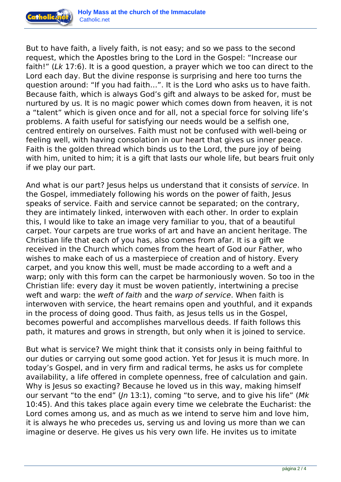

But to have faith, a lively faith, is not easy; and so we pass to the second request, which the Apostles bring to the Lord in the Gospel: "Increase our faith!" (*Lk* 17:6). It is a good question, a prayer which we too can direct to the Lord each day. But the divine response is surprising and here too turns the question around: "If you had faith…". It is the Lord who asks us to have faith. Because faith, which is always God's gift and always to be asked for, must be nurtured by us. It is no magic power which comes down from heaven, it is not a "talent" which is given once and for all, not a special force for solving life's problems. A faith useful for satisfying our needs would be a selfish one, centred entirely on ourselves. Faith must not be confused with well-being or feeling well, with having consolation in our heart that gives us inner peace. Faith is the golden thread which binds us to the Lord, the pure joy of being with him, united to him; it is a gift that lasts our whole life, but bears fruit only if we play our part.

And what is our part? Jesus helps us understand that it consists of *service*. In the Gospel, immediately following his words on the power of faith, Jesus speaks of service. Faith and service cannot be separated; on the contrary, they are intimately linked, interwoven with each other. In order to explain this, I would like to take an image very familiar to you, that of a beautiful carpet. Your carpets are true works of art and have an ancient heritage. The Christian life that each of you has, also comes from afar. It is a gift we received in the Church which comes from the heart of God our Father, who wishes to make each of us a masterpiece of creation and of history. Every carpet, and you know this well, must be made according to a weft and a warp; only with this form can the carpet be harmoniously woven. So too in the Christian life: every day it must be woven patiently, intertwining a precise weft and warp: the *weft of faith* and the *warp of service*. When faith is interwoven with service, the heart remains open and youthful, and it expands in the process of doing good. Thus faith, as Jesus tells us in the Gospel, becomes powerful and accomplishes marvellous deeds. If faith follows this path, it matures and grows in strength, but only when it is joined to service.

But what is service? We might think that it consists only in being faithful to our duties or carrying out some good action. Yet for Jesus it is much more. In today's Gospel, and in very firm and radical terms, he asks us for complete availability, a life offered in complete openness, free of calculation and gain. Why is Jesus so exacting? Because he loved us in this way, making himself our servant "to the end" (*Jn* 13:1), coming "to serve, and to give his life" (*Mk* 10:45). And this takes place again every time we celebrate the Eucharist: the Lord comes among us, and as much as we intend to serve him and love him, it is always he who precedes us, serving us and loving us more than we can imagine or deserve. He gives us his very own life. He invites us to imitate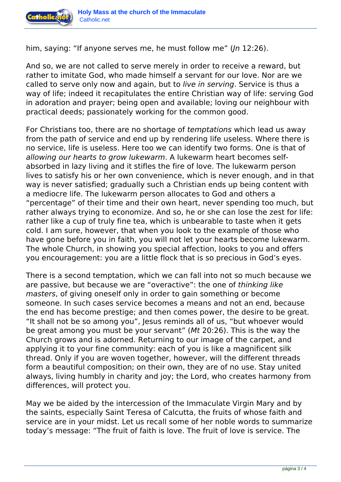

him, saying: "If anyone serves me, he must follow me" (*Jn* 12:26).

And so, we are not called to serve merely in order to receive a reward, but rather to imitate God, who made himself a servant for our love. Nor are we called to serve only now and again, but to *live in serving*. Service is thus a way of life; indeed it recapitulates the entire Christian way of life: serving God in adoration and prayer; being open and available; loving our neighbour with practical deeds; passionately working for the common good.

For Christians too, there are no shortage of *temptations* which lead us away from the path of service and end up by rendering life useless. Where there is no service, life is useless. Here too we can identify two forms. One is that of *allowing our hearts to grow lukewarm*. A lukewarm heart becomes selfabsorbed in lazy living and it stifles the fire of love. The lukewarm person lives to satisfy his or her own convenience, which is never enough, and in that way is never satisfied; gradually such a Christian ends up being content with a mediocre life. The lukewarm person allocates to God and others a "percentage" of their time and their own heart, never spending too much, but rather always trying to economize. And so, he or she can lose the zest for life: rather like a cup of truly fine tea, which is unbearable to taste when it gets cold. I am sure, however, that when you look to the example of those who have gone before you in faith, you will not let your hearts become lukewarm. The whole Church, in showing you special affection, looks to you and offers you encouragement: you are a little flock that is so precious in God's eyes.

There is a second temptation, which we can fall into not so much because we are passive, but because we are "overactive": the one of *thinking like masters*, of giving oneself only in order to gain something or become someone. In such cases service becomes a means and not an end, because the end has become prestige; and then comes power, the desire to be great. "It shall not be so among you", Jesus reminds all of us, "but whoever would be great among you must be your servant" (*Mt* 20:26). This is the way the Church grows and is adorned. Returning to our image of the carpet, and applying it to your fine community: each of you is like a magnificent silk thread. Only if you are woven together, however, will the different threads form a beautiful composition; on their own, they are of no use. Stay united always, living humbly in charity and joy; the Lord, who creates harmony from differences, will protect you.

May we be aided by the intercession of the Immaculate Virgin Mary and by the saints, especially Saint Teresa of Calcutta, the fruits of whose faith and service are in your midst. Let us recall some of her noble words to summarize today's message: "The fruit of faith is love. The fruit of love is service. The